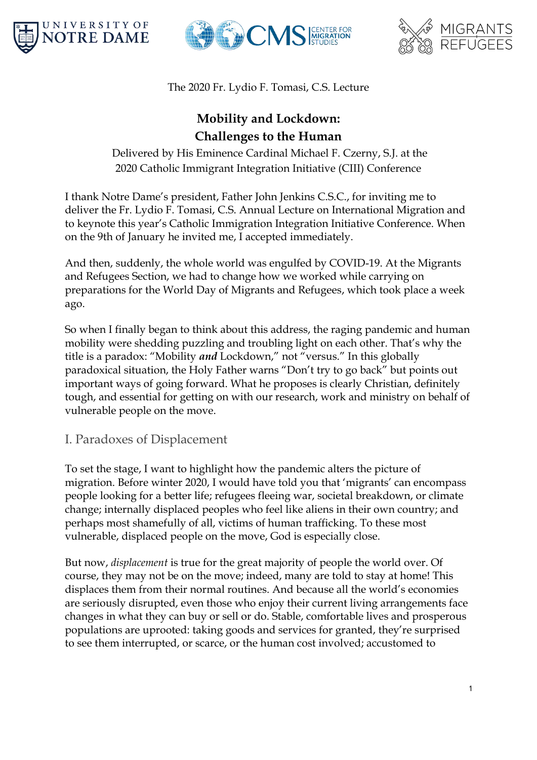





The 2020 Fr. Lydio F. Tomasi, C.S. Lecture

## **Mobility and Lockdown: Challenges to the Human**

Delivered by His Eminence Cardinal Michael F. Czerny, S.J. at the 2020 Catholic Immigrant Integration Initiative (CIII) Conference

I thank Notre Dame's president, Father John Jenkins C.S.C., for inviting me to deliver the Fr. Lydio F. Tomasi, C.S. Annual Lecture on International Migration and to keynote this year's Catholic Immigration Integration Initiative Conference. When on the 9th of January he invited me, I accepted immediately.

And then, suddenly, the whole world was engulfed by COVID-19. At the Migrants and Refugees Section, we had to change how we worked while carrying on preparations for the World Day of Migrants and Refugees, which took place a week ago.

So when I finally began to think about this address, the raging pandemic and human mobility were shedding puzzling and troubling light on each other. That's why the title is a paradox: "Mobility *and* Lockdown," not "versus." In this globally paradoxical situation, the Holy Father warns "Don't try to go back" but points out important ways of going forward. What he proposes is clearly Christian, definitely tough, and essential for getting on with our research, work and ministry on behalf of vulnerable people on the move.

## I. Paradoxes of Displacement

To set the stage, I want to highlight how the pandemic alters the picture of migration. Before winter 2020, I would have told you that 'migrants' can encompass people looking for a better life; refugees fleeing war, societal breakdown, or climate change; internally displaced peoples who feel like aliens in their own country; and perhaps most shamefully of all, victims of human trafficking. To these most vulnerable, displaced people on the move, God is especially close.

But now, *displacement* is true for the great majority of people the world over. Of course, they may not be on the move; indeed, many are told to stay at home! This displaces them from their normal routines. And because all the world's economies are seriously disrupted, even those who enjoy their current living arrangements face changes in what they can buy or sell or do. Stable, comfortable lives and prosperous populations are uprooted: taking goods and services for granted, they're surprised to see them interrupted, or scarce, or the human cost involved; accustomed to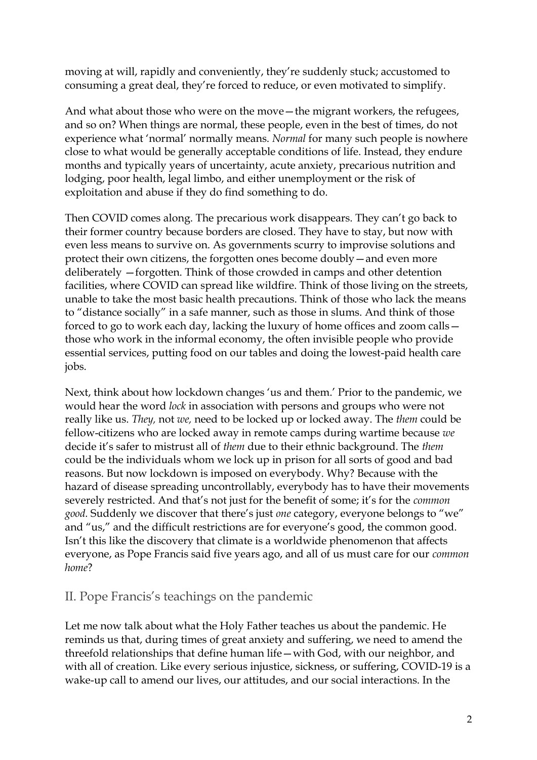moving at will, rapidly and conveniently, they're suddenly stuck; accustomed to consuming a great deal, they're forced to reduce, or even motivated to simplify.

And what about those who were on the move—the migrant workers, the refugees, and so on? When things are normal, these people, even in the best of times, do not experience what 'normal' normally means. *Normal* for many such people is nowhere close to what would be generally acceptable conditions of life. Instead, they endure months and typically years of uncertainty, acute anxiety, precarious nutrition and lodging, poor health, legal limbo, and either unemployment or the risk of exploitation and abuse if they do find something to do.

Then COVID comes along. The precarious work disappears. They can't go back to their former country because borders are closed. They have to stay, but now with even less means to survive on. As governments scurry to improvise solutions and protect their own citizens, the forgotten ones become doubly—and even more deliberately —forgotten. Think of those crowded in camps and other detention facilities, where COVID can spread like wildfire. Think of those living on the streets, unable to take the most basic health precautions. Think of those who lack the means to "distance socially" in a safe manner, such as those in slums. And think of those forced to go to work each day, lacking the luxury of home offices and zoom calls those who work in the informal economy, the often invisible people who provide essential services, putting food on our tables and doing the lowest-paid health care jobs.

Next, think about how lockdown changes 'us and them.' Prior to the pandemic, we would hear the word *lock* in association with persons and groups who were not really like us. *They,* not *we,* need to be locked up or locked away. The *them* could be fellow-citizens who are locked away in remote camps during wartime because *we* decide it's safer to mistrust all of *them* due to their ethnic background. The *them* could be the individuals whom we lock up in prison for all sorts of good and bad reasons. But now lockdown is imposed on everybody. Why? Because with the hazard of disease spreading uncontrollably, everybody has to have their movements severely restricted. And that's not just for the benefit of some; it's for the *common good.* Suddenly we discover that there's just *one* category, everyone belongs to "we" and "us," and the difficult restrictions are for everyone's good, the common good. Isn't this like the discovery that climate is a worldwide phenomenon that affects everyone, as Pope Francis said five years ago, and all of us must care for our *common home*?

## II. Pope Francis's teachings on the pandemic

Let me now talk about what the Holy Father teaches us about the pandemic. He reminds us that, during times of great anxiety and suffering, we need to amend the threefold relationships that define human life—with God, with our neighbor, and with all of creation. Like every serious injustice, sickness, or suffering, COVID-19 is a wake-up call to amend our lives, our attitudes, and our social interactions. In the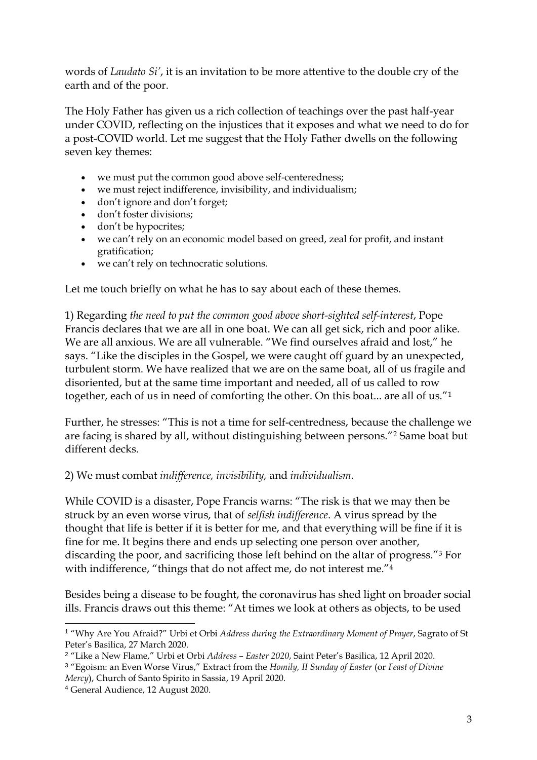words of *Laudato Si'*, it is an invitation to be more attentive to the double cry of the earth and of the poor.

The Holy Father has given us a rich collection of teachings over the past half-year under COVID, reflecting on the injustices that it exposes and what we need to do for a post-COVID world. Let me suggest that the Holy Father dwells on the following seven key themes:

- we must put the common good above self-centeredness;
- we must reject indifference, invisibility, and individualism;
- don't ignore and don't forget;
- don't foster divisions;
- don't be hypocrites;
- we can't rely on an economic model based on greed, zeal for profit, and instant gratification;
- we can't rely on technocratic solutions.

Let me touch briefly on what he has to say about each of these themes.

1) Regarding *the need to put the common good above short-sighted self-interest*, Pope Francis declares that we are all in one boat. We can all get sick, rich and poor alike. We are all anxious. We are all vulnerable. "We find ourselves afraid and lost," he says. "Like the disciples in the Gospel, we were caught off guard by an unexpected, turbulent storm. We have realized that we are on the same boat, all of us fragile and disoriented, but at the same time important and needed, all of us called to row together, each of us in need of comforting the other. On this boat... are all of us."<sup>1</sup>

Further, he stresses: "This is not a time for self-centredness, because the challenge we are facing is shared by all, without distinguishing between persons."<sup>2</sup> Same boat but different decks.

2) We must combat *indifference, invisibility,* and *individualism.*

While COVID is a disaster, Pope Francis warns: "The risk is that we may then be struck by an even worse virus, that of *selfish indifference*. A virus spread by the thought that life is better if it is better for me, and that everything will be fine if it is fine for me. It begins there and ends up selecting one person over another, discarding the poor, and sacrificing those left behind on the altar of progress."<sup>3</sup> For with indifference, "things that do not affect me, do not interest me."<sup>4</sup>

Besides being a disease to be fought, the coronavirus has shed light on broader social ills. Francis draws out this theme: "At times we look at others as objects, to be used

<sup>1</sup> "Why Are You Afraid?" Urbi et Orbi *Address during the Extraordinary Moment of Prayer*, Sagrato of St Peter's Basilica, 27 March 2020.

<sup>2</sup> "Like a New Flame," Urbi et Orbi *Address* – *Easter 2020*, Saint Peter's Basilica, 12 April 2020.

<sup>3</sup> "Egoism: an Even Worse Virus," Extract from the *Homily, II Sunday of Easter* (or *Feast of Divine Mercy*), Church of Santo Spirito in Sassia, 19 April 2020.

<sup>4</sup> General Audience, 12 August 2020.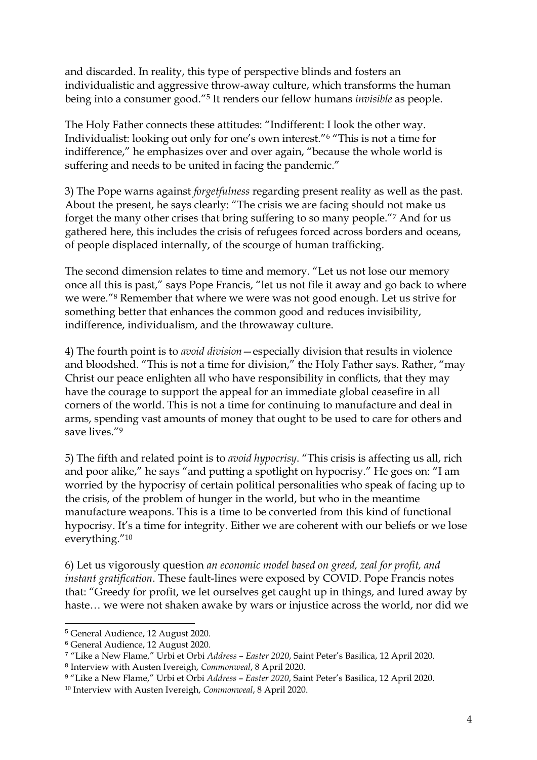and discarded. In reality, this type of perspective blinds and fosters an individualistic and aggressive throw-away culture, which transforms the human being into a consumer good."<sup>5</sup> It renders our fellow humans *invisible* as people.

The Holy Father connects these attitudes: "Indifferent: I look the other way. Individualist: looking out only for one's own interest."<sup>6</sup> "This is not a time for indifference," he emphasizes over and over again, "because the whole world is suffering and needs to be united in facing the pandemic."

3) The Pope warns against *forgetfulness* regarding present reality as well as the past. About the present, he says clearly: "The crisis we are facing should not make us forget the many other crises that bring suffering to so many people."<sup>7</sup> And for us gathered here, this includes the crisis of refugees forced across borders and oceans, of people displaced internally, of the scourge of human trafficking.

The second dimension relates to time and memory. "Let us not lose our memory once all this is past," says Pope Francis, "let us not file it away and go back to where we were."<sup>8</sup> Remember that where we were was not good enough. Let us strive for something better that enhances the common good and reduces invisibility, indifference, individualism, and the throwaway culture.

4) The fourth point is to *avoid division*—especially division that results in violence and bloodshed. "This is not a time for division," the Holy Father says. Rather, "may Christ our peace enlighten all who have responsibility in conflicts, that they may have the courage to support the appeal for an immediate global ceasefire in all corners of the world. This is not a time for continuing to manufacture and deal in arms, spending vast amounts of money that ought to be used to care for others and save lives."<sup>9</sup>

5) The fifth and related point is to *avoid hypocrisy*. "This crisis is affecting us all, rich and poor alike," he says "and putting a spotlight on hypocrisy." He goes on: "I am worried by the hypocrisy of certain political personalities who speak of facing up to the crisis, of the problem of hunger in the world, but who in the meantime manufacture weapons. This is a time to be converted from this kind of functional hypocrisy. It's a time for integrity. Either we are coherent with our beliefs or we lose everything."<sup>10</sup>

6) Let us vigorously question *an economic model based on greed, zeal for profit, and instant gratification*. These fault-lines were exposed by COVID. Pope Francis notes that: "Greedy for profit, we let ourselves get caught up in things, and lured away by haste… we were not shaken awake by wars or injustice across the world, nor did we

<sup>5</sup> General Audience, 12 August 2020.

<sup>6</sup> General Audience, 12 August 2020.

<sup>7</sup> "Like a New Flame," Urbi et Orbi *Address* – *Easter 2020*, Saint Peter's Basilica, 12 April 2020. 8 Interview with Austen Ivereigh, *Commonweal*, 8 April 2020.

<sup>9</sup> "Like a New Flame," Urbi et Orbi *Address* – *Easter 2020*, Saint Peter's Basilica, 12 April 2020.

<sup>10</sup> Interview with Austen Ivereigh, *Commonweal*, 8 April 2020.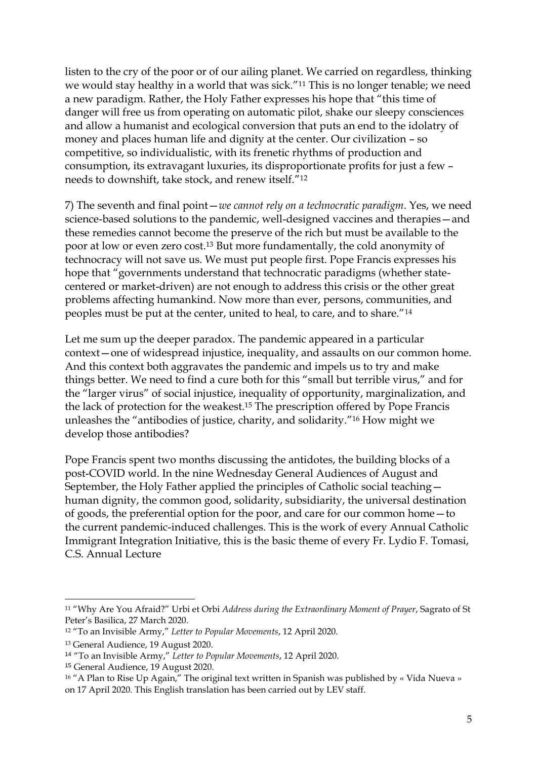listen to the cry of the poor or of our ailing planet. We carried on regardless, thinking we would stay healthy in a world that was sick."<sup>11</sup> This is no longer tenable; we need a new paradigm. Rather, the Holy Father expresses his hope that "this time of danger will free us from operating on automatic pilot, shake our sleepy consciences and allow a humanist and ecological conversion that puts an end to the idolatry of money and places human life and dignity at the center. Our civilization – so competitive, so individualistic, with its frenetic rhythms of production and consumption, its extravagant luxuries, its disproportionate profits for just a few – needs to downshift, take stock, and renew itself."<sup>12</sup>

7) The seventh and final point—*we cannot rely on a technocratic paradigm*. Yes, we need science-based solutions to the pandemic, well-designed vaccines and therapies—and these remedies cannot become the preserve of the rich but must be available to the poor at low or even zero cost.<sup>13</sup> But more fundamentally, the cold anonymity of technocracy will not save us. We must put people first. Pope Francis expresses his hope that "governments understand that technocratic paradigms (whether statecentered or market-driven) are not enough to address this crisis or the other great problems affecting humankind. Now more than ever, persons, communities, and peoples must be put at the center, united to heal, to care, and to share."<sup>14</sup>

Let me sum up the deeper paradox. The pandemic appeared in a particular context—one of widespread injustice, inequality, and assaults on our common home. And this context both aggravates the pandemic and impels us to try and make things better. We need to find a cure both for this "small but terrible virus," and for the "larger virus" of social injustice, inequality of opportunity, marginalization, and the lack of protection for the weakest.<sup>15</sup> The prescription offered by Pope Francis unleashes the "antibodies of justice, charity, and solidarity."<sup>16</sup> How might we develop those antibodies?

Pope Francis spent two months discussing the antidotes, the building blocks of a post-COVID world. In the nine Wednesday General Audiences of August and September, the Holy Father applied the principles of Catholic social teaching human dignity, the common good, solidarity, subsidiarity, the universal destination of goods, the preferential option for the poor, and care for our common home—to the current pandemic-induced challenges. This is the work of every Annual Catholic Immigrant Integration Initiative, this is the basic theme of every Fr. Lydio F. Tomasi, C.S. Annual Lecture

<sup>11</sup> "Why Are You Afraid?" Urbi et Orbi *Address during the Extraordinary Moment of Prayer*, Sagrato of St Peter's Basilica, 27 March 2020.

<sup>12</sup> "To an Invisible Army," *Letter to Popular Movements*, 12 April 2020.

<sup>13</sup> General Audience, 19 August 2020.

<sup>14</sup> "To an Invisible Army," *Letter to Popular Movements*, 12 April 2020.

<sup>15</sup> General Audience, 19 August 2020.

<sup>&</sup>lt;sup>16</sup> "A Plan to Rise Up Again," The original text written in Spanish was published by « Vida Nueva » on 17 April 2020. This English translation has been carried out by LEV staff.